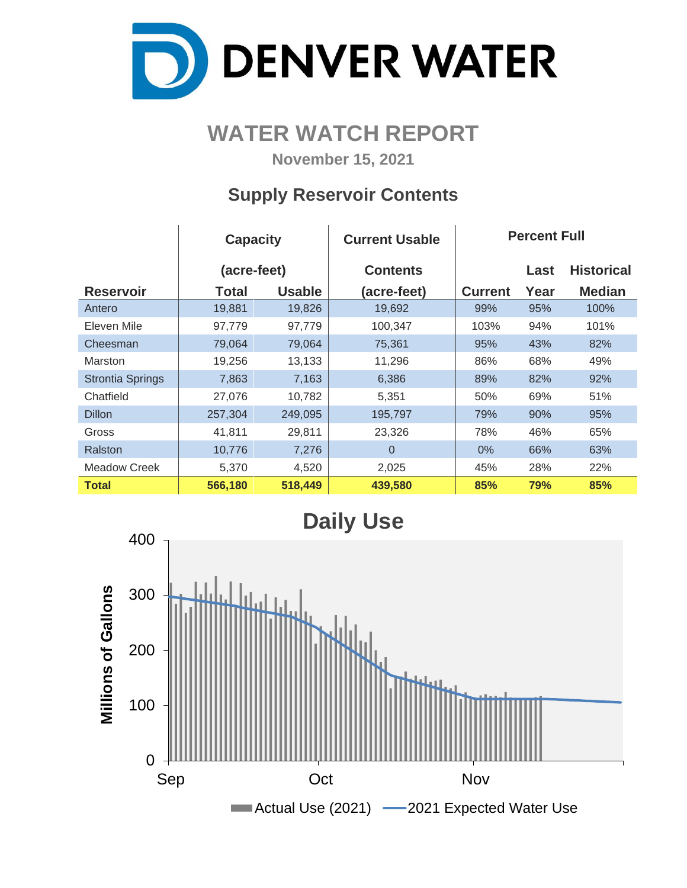

# **WATER WATCH REPORT**

**November 15, 2021**

### **Supply Reservoir Contents**

|                         | <b>Capacity</b> |               | <b>Current Usable</b> | <b>Percent Full</b> |      |                   |
|-------------------------|-----------------|---------------|-----------------------|---------------------|------|-------------------|
|                         | (acre-feet)     |               | <b>Contents</b>       |                     | Last | <b>Historical</b> |
| <b>Reservoir</b>        | Total           | <b>Usable</b> | (acre-feet)           | <b>Current</b>      | Year | <b>Median</b>     |
| Antero                  | 19,881          | 19,826        | 19,692                | 99%                 | 95%  | 100%              |
| Eleven Mile             | 97,779          | 97,779        | 100,347               | 103%                | 94%  | 101%              |
| Cheesman                | 79,064          | 79,064        | 75,361                | 95%                 | 43%  | 82%               |
| <b>Marston</b>          | 19,256          | 13,133        | 11,296                | 86%                 | 68%  | 49%               |
| <b>Strontia Springs</b> | 7,863           | 7,163         | 6,386                 | 89%                 | 82%  | 92%               |
| Chatfield               | 27,076          | 10,782        | 5,351                 | 50%                 | 69%  | 51%               |
| <b>Dillon</b>           | 257,304         | 249,095       | 195,797               | 79%                 | 90%  | 95%               |
| Gross                   | 41,811          | 29,811        | 23,326                | 78%                 | 46%  | 65%               |
| Ralston                 | 10,776          | 7,276         | $\Omega$              | $0\%$               | 66%  | 63%               |
| Meadow Creek            | 5,370           | 4,520         | 2,025                 | 45%                 | 28%  | 22%               |
| <b>Total</b>            | 566,180         | 518,449       | 439,580               | 85%                 | 79%  | 85%               |

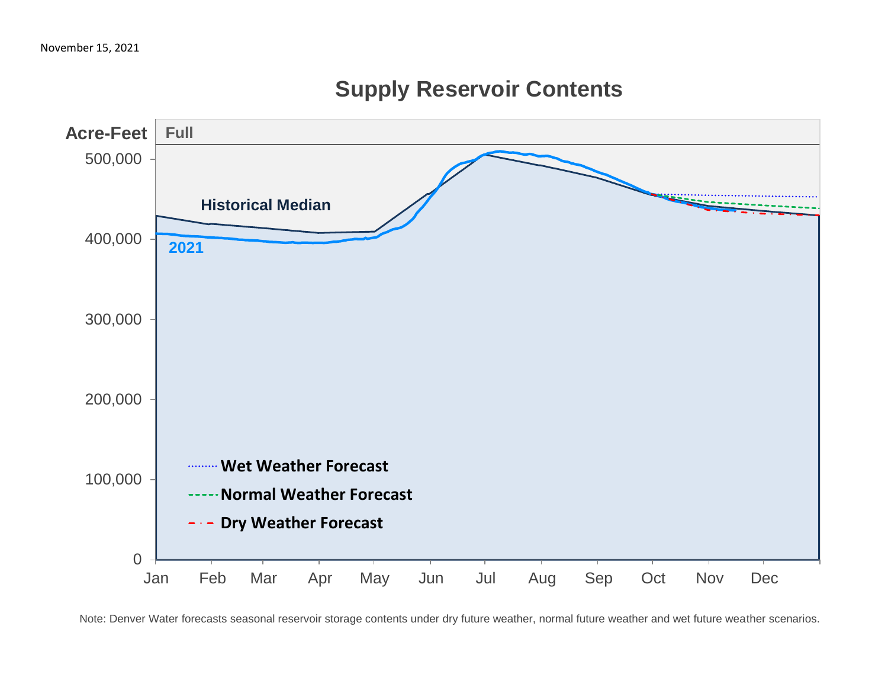

# **Supply Reservoir Contents**

Note: Denver Water forecasts seasonal reservoir storage contents under dry future weather, normal future weather and wet future weather scenarios.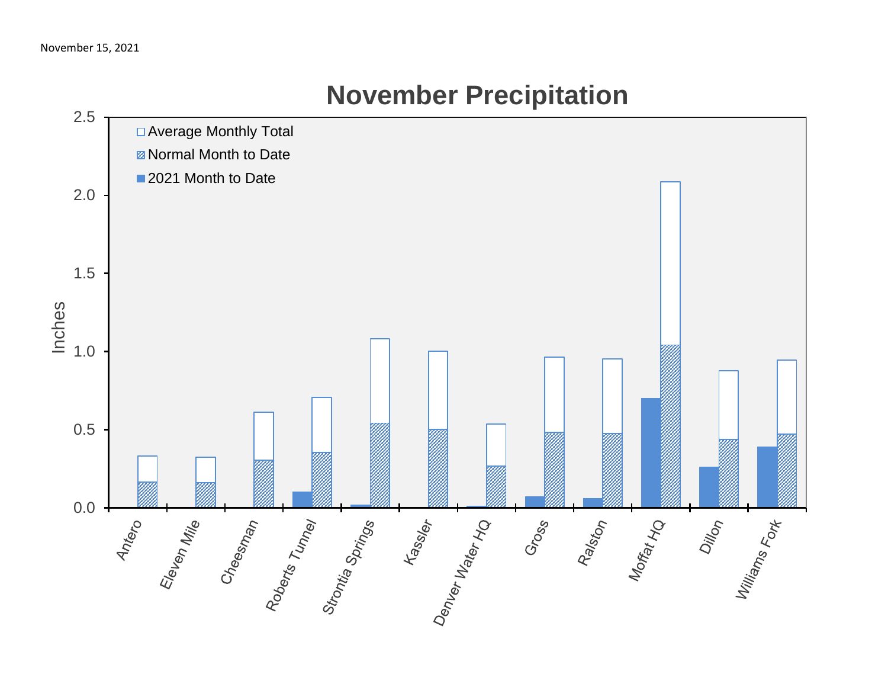

# **November Precipitation**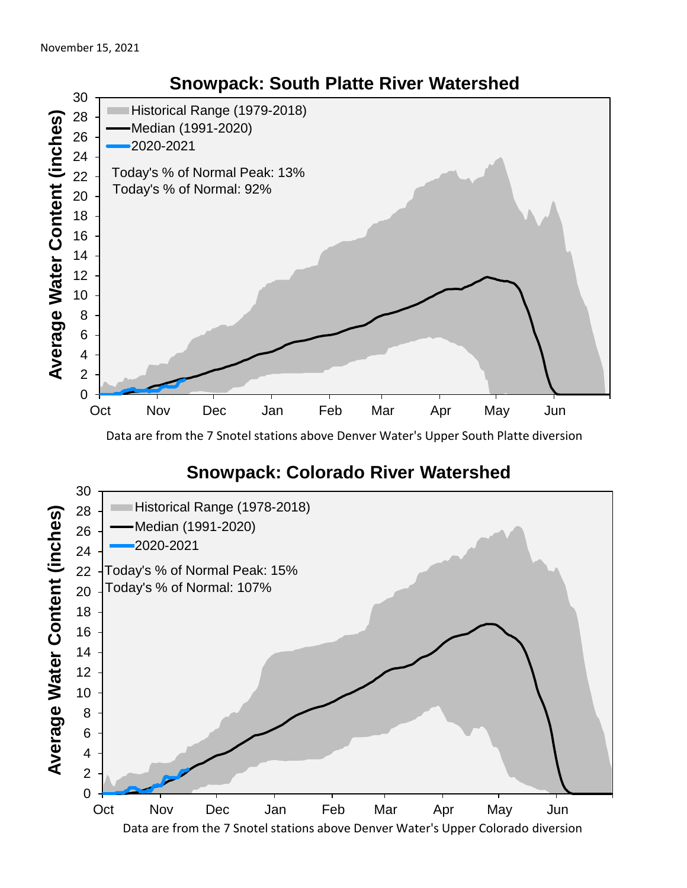

Data are from the 7 Snotel stations above Denver Water's Upper South Platte diversion

#### **Snowpack: Colorado River Watershed**



### **Snowpack: South Platte River Watershed**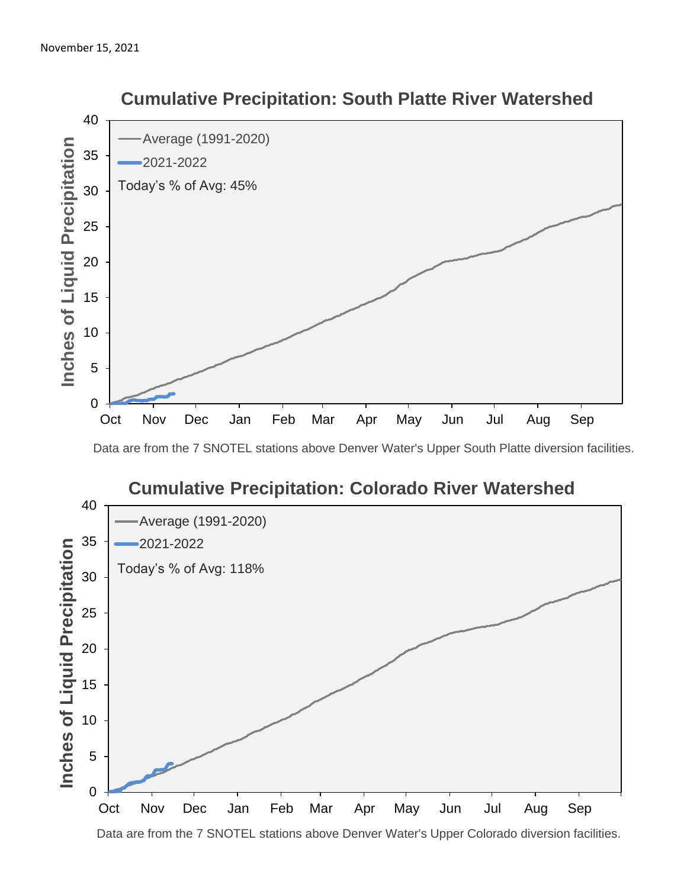

#### **Cumulative Precipitation: South Platte River Watershed**

Data are from the 7 SNOTEL stations above Denver Water's Upper South Platte diversion facilities.



Data are from the 7 SNOTEL stations above Denver Water's Upper Colorado diversion facilities.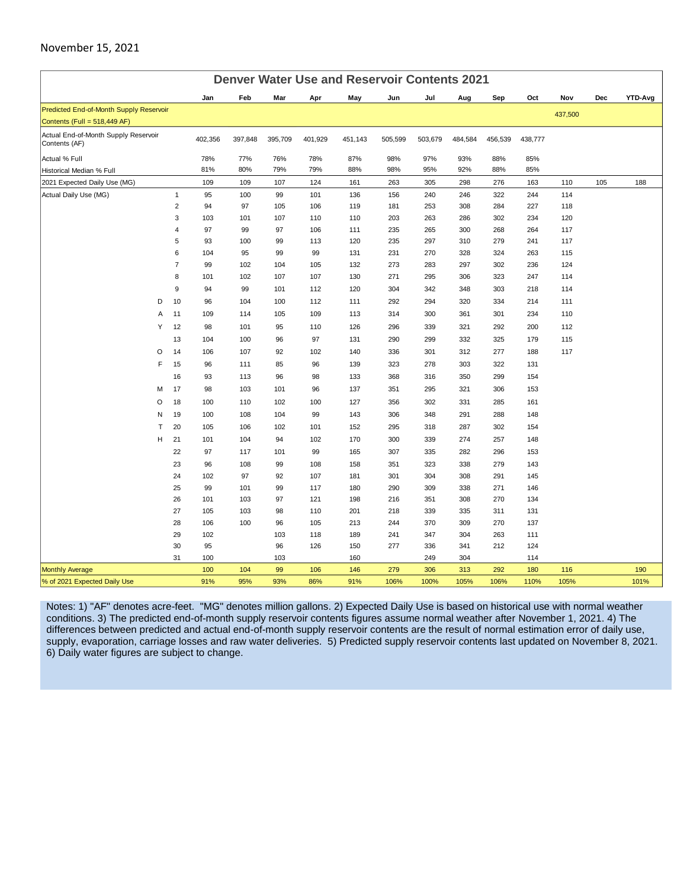#### November 15, 2021

| <b>Denver Water Use and Reservoir Contents 2021</b>                                                                         |                                                                                                       |  |  |  |  |  |
|-----------------------------------------------------------------------------------------------------------------------------|-------------------------------------------------------------------------------------------------------|--|--|--|--|--|
| Jan<br>Feb<br>May<br>Mar<br>Apr                                                                                             | Jun<br>Sep<br>Nov<br>YTD-Avg<br>Jul<br>Aug<br>Oct<br>Dec                                              |  |  |  |  |  |
| Predicted End-of-Month Supply Reservoir                                                                                     | 437,500                                                                                               |  |  |  |  |  |
| Contents (Full = 518,449 AF)                                                                                                |                                                                                                       |  |  |  |  |  |
| Actual End-of-Month Supply Reservoir<br>402,356<br>397,848<br>395,709<br>401,929<br>451,143<br>Contents (AF)                | 505,599<br>503,679<br>484,584<br>456,539<br>438,777                                                   |  |  |  |  |  |
| Actual % Full<br>78%<br>77%<br>76%<br>78%<br>87%                                                                            | 98%<br>97%<br>93%<br>88%<br>85%                                                                       |  |  |  |  |  |
| 81%<br>80%<br>79%<br>79%<br>88%<br>Historical Median % Full                                                                 | 98%<br>95%<br>88%<br>85%<br>92%                                                                       |  |  |  |  |  |
| 2021 Expected Daily Use (MG)<br>109<br>109<br>107<br>124<br>161                                                             | 276<br>105<br>263<br>305<br>298<br>163<br>110<br>188                                                  |  |  |  |  |  |
| Actual Daily Use (MG)<br>$\mathbf{1}$<br>95<br>100<br>99<br>101<br>136                                                      | 156<br>240<br>246<br>322<br>244<br>114                                                                |  |  |  |  |  |
| $\overline{2}$<br>94<br>97<br>106<br>119<br>105                                                                             | 253<br>308<br>284<br>227<br>118<br>181                                                                |  |  |  |  |  |
| 3<br>110<br>103<br>101<br>107<br>110                                                                                        | 203<br>263<br>302<br>234<br>120<br>286                                                                |  |  |  |  |  |
| 4<br>97<br>99<br>97<br>106<br>111                                                                                           | 235<br>265<br>300<br>268<br>264<br>117                                                                |  |  |  |  |  |
| 5<br>93<br>120<br>100<br>99<br>113                                                                                          | 235<br>279<br>117<br>297<br>310<br>241                                                                |  |  |  |  |  |
| 6<br>99<br>104<br>95<br>99<br>131                                                                                           | 115<br>231<br>270<br>328<br>324<br>263                                                                |  |  |  |  |  |
| $\overline{7}$<br>99<br>132<br>102<br>104<br>105                                                                            | 273<br>297<br>302<br>236<br>124<br>283                                                                |  |  |  |  |  |
| 8<br>101<br>102<br>107<br>107<br>130                                                                                        | 271<br>295<br>306<br>323<br>247<br>114                                                                |  |  |  |  |  |
| 9<br>99<br>120<br>94<br>101<br>112                                                                                          | 304<br>342<br>348<br>303<br>218<br>114                                                                |  |  |  |  |  |
| 10<br>D<br>96<br>104<br>112<br>111<br>100                                                                                   | 292<br>294<br>334<br>214<br>111<br>320                                                                |  |  |  |  |  |
| A<br>11<br>109<br>109<br>113<br>114<br>105                                                                                  | 314<br>300<br>361<br>301<br>234<br>110                                                                |  |  |  |  |  |
| 12<br>Y<br>98<br>101<br>95<br>110<br>126                                                                                    | 296<br>339<br>321<br>292<br>200<br>112                                                                |  |  |  |  |  |
| 13<br>97<br>131<br>104<br>100<br>96                                                                                         | 290<br>299<br>332<br>325<br>179<br>115                                                                |  |  |  |  |  |
| O<br>14<br>106<br>107<br>92<br>102<br>140                                                                                   | 117<br>336<br>301<br>312<br>277<br>188                                                                |  |  |  |  |  |
| F<br>15<br>96<br>111<br>96<br>139<br>85                                                                                     | 323<br>278<br>303<br>322<br>131                                                                       |  |  |  |  |  |
| 16<br>93<br>113<br>96<br>98<br>133                                                                                          | 368<br>316<br>350<br>299<br>154                                                                       |  |  |  |  |  |
| 17<br>98<br>96<br>137<br>M<br>103<br>101                                                                                    | 351<br>295<br>321<br>306<br>153                                                                       |  |  |  |  |  |
| 18<br>O<br>100<br>110<br>102<br>100<br>127                                                                                  | 356<br>302<br>331<br>285<br>161                                                                       |  |  |  |  |  |
| 19<br>N<br>100<br>108<br>104<br>99<br>143                                                                                   | 288<br>306<br>348<br>291<br>148                                                                       |  |  |  |  |  |
| т<br>20<br>105<br>106<br>102<br>101<br>152                                                                                  | 295<br>318<br>287<br>302<br>154                                                                       |  |  |  |  |  |
| Н<br>21<br>170<br>101<br>104<br>94<br>102                                                                                   | 300<br>339<br>274<br>257<br>148                                                                       |  |  |  |  |  |
| 22<br>97<br>117<br>101<br>99<br>165                                                                                         | 307<br>335<br>282<br>296<br>153                                                                       |  |  |  |  |  |
| 23<br>96<br>108<br>99<br>108<br>158                                                                                         | 143<br>351<br>323<br>338<br>279                                                                       |  |  |  |  |  |
| 24<br>102<br>97<br>107<br>92<br>181                                                                                         | 301<br>304<br>308<br>291<br>145                                                                       |  |  |  |  |  |
| 25<br>99<br>101<br>99<br>117<br>180                                                                                         | 290<br>309<br>338<br>271<br>146                                                                       |  |  |  |  |  |
| 26<br>101<br>121<br>103<br>97<br>198                                                                                        | 270<br>216<br>351<br>308<br>134                                                                       |  |  |  |  |  |
| 27<br>105<br>103<br>98<br>110<br>201                                                                                        | 218<br>339<br>335<br>311<br>131                                                                       |  |  |  |  |  |
| 28<br>106<br>100<br>96<br>105<br>213                                                                                        | 370<br>244<br>309<br>270<br>137                                                                       |  |  |  |  |  |
| 29<br>102<br>103<br>118<br>189                                                                                              | 241<br>347<br>304<br>263<br>111                                                                       |  |  |  |  |  |
| 30<br>95<br>126<br>96<br>150                                                                                                | 277<br>124<br>336<br>212<br>341                                                                       |  |  |  |  |  |
| 31<br>100<br>103<br>160                                                                                                     | 249<br>304<br>114                                                                                     |  |  |  |  |  |
| 100<br>104<br>99<br>106<br>146<br><b>Monthly Average</b><br>% of 2021 Expected Daily Use<br>91%<br>95%<br>86%<br>93%<br>91% | 279<br>306<br>313<br>292<br>180<br>116<br>190<br>106%<br>105%<br>106%<br>110%<br>105%<br>101%<br>100% |  |  |  |  |  |

Notes: 1) "AF" denotes acre-feet. "MG" denotes million gallons. 2) Expected Daily Use is based on historical use with normal weather conditions. 3) The predicted end-of-month supply reservoir contents figures assume normal weather after November 1, 2021. 4) The differences between predicted and actual end-of-month supply reservoir contents are the result of normal estimation error of daily use, supply, evaporation, carriage losses and raw water deliveries. 5) Predicted supply reservoir contents last updated on November 8, 2021. 6) Daily water figures are subject to change.